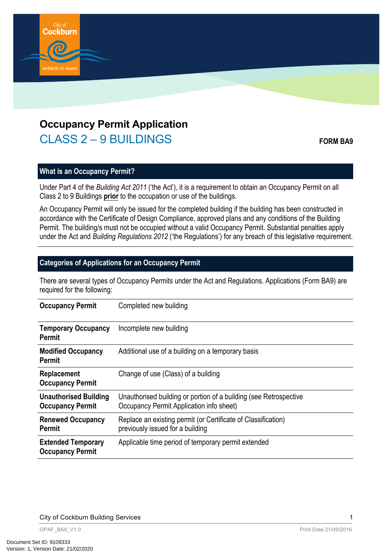

# **Occupancy Permit Application** CLASS 2 – 9 BUILDINGS **FORM BA9**

# **What is an Occupancy Permit?**

Under Part 4 of the *Building Act 2011* ('the Act'), it is a requirement to obtain an Occupancy Permit on all Class 2 to 9 Buildings **prior** to the occupation or use of the buildings.

An Occupancy Permit will only be issued for the completed building if the building has been constructed in accordance with the Certificate of Design Compliance, approved plans and any conditions of the Building Permit. The building/s must not be occupied without a valid Occupancy Permit. Substantial penalties apply under the Act and *Building Regulations 2012* ('the Regulations') for any breach of this legislative requirement.

# **Categories of Applications for an Occupancy Permit**

There are several types of Occupancy Permits under the Act and Regulations. Applications (Form BA9) are required for the following:

| <b>Occupancy Permit</b>                                 | Completed new building                                                                                        |
|---------------------------------------------------------|---------------------------------------------------------------------------------------------------------------|
| <b>Temporary Occupancy</b><br>Permit                    | Incomplete new building                                                                                       |
| <b>Modified Occupancy</b><br>Permit                     | Additional use of a building on a temporary basis                                                             |
| Replacement<br><b>Occupancy Permit</b>                  | Change of use (Class) of a building                                                                           |
| <b>Unauthorised Building</b><br><b>Occupancy Permit</b> | Unauthorised building or portion of a building (see Retrospective<br>Occupancy Permit Application info sheet) |
| <b>Renewed Occupancy</b><br>Permit                      | Replace an existing permit (or Certificate of Classification)<br>previously issued for a building             |
| <b>Extended Temporary</b><br><b>Occupancy Permit</b>    | Applicable time period of temporary permit extended                                                           |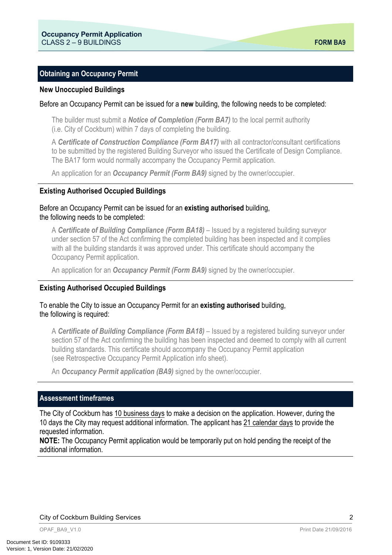## **Obtaining an Occupancy Permit**

#### **New Unoccupied Buildings**

#### Before an Occupancy Permit can be issued for a **new** building, the following needs to be completed:

The builder must submit a *Notice of Completion (Form BA7)* to the local permit authority (i.e. City of Cockburn) within 7 days of completing the building.

A *Certificate of Construction Compliance (Form BA17)* with all contractor/consultant certifications to be submitted by the registered Building Surveyor who issued the Certificate of Design Compliance. The BA17 form would normally accompany the Occupancy Permit application.

An application for an *Occupancy Permit (Form BA9)* signed by the owner/occupier.

#### **Existing Authorised Occupied Buildings**

#### Before an Occupancy Permit can be issued for an **existing authorised** building, the following needs to be completed:

A **Certificate of Building Compliance (Form BA18)** – Issued by a registered building surveyor under section 57 of the Act confirming the completed building has been inspected and it complies with all the building standards it was approved under. This certificate should accompany the Occupancy Permit application.

An application for an *Occupancy Permit (Form BA9)* signed by the owner/occupier.

#### **Existing Authorised Occupied Buildings**

## To enable the City to issue an Occupancy Permit for an **existing authorised** building, the following is required:

A **Certificate of Building Compliance (Form BA18)** – Issued by a registered building surveyor under section 57 of the Act confirming the building has been inspected and deemed to comply with all current building standards. This certificate should accompany the Occupancy Permit application (see Retrospective Occupancy Permit Application info sheet).

An *Occupancy Permit application (BA9)* signed by the owner/occupier.

#### **Assessment timeframes**

The City of Cockburn has 10 business days to make a decision on the application. However, during the 10 days the City may request additional information. The applicant has 21 calendar days to provide the requested information.

**NOTE:** The Occupancy Permit application would be temporarily put on hold pending the receipt of the additional information.

City of Cockburn Building Services

2